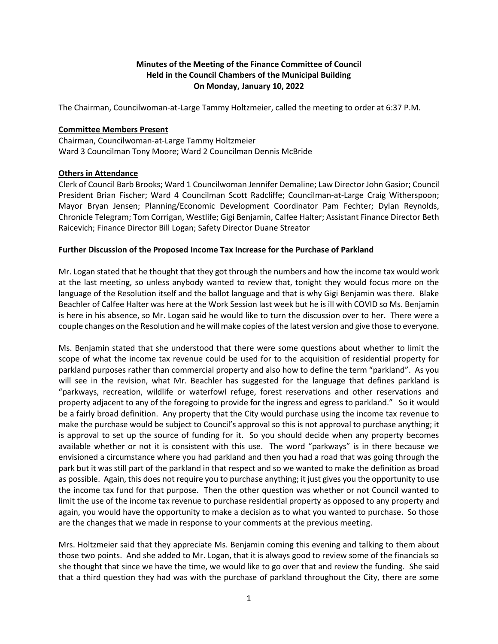## **Minutes of the Meeting of the Finance Committee of Council Held in the Council Chambers of the Municipal Building On Monday, January 10, 2022**

The Chairman, Councilwoman-at-Large Tammy Holtzmeier, called the meeting to order at 6:37 P.M.

## **Committee Members Present**

Chairman, Councilwoman-at-Large Tammy Holtzmeier Ward 3 Councilman Tony Moore; Ward 2 Councilman Dennis McBride

## **Others in Attendance**

Clerk of Council Barb Brooks; Ward 1 Councilwoman Jennifer Demaline; Law Director John Gasior; Council President Brian Fischer; Ward 4 Councilman Scott Radcliffe; Councilman-at-Large Craig Witherspoon; Mayor Bryan Jensen; Planning/Economic Development Coordinator Pam Fechter; Dylan Reynolds, Chronicle Telegram; Tom Corrigan, Westlife; Gigi Benjamin, Calfee Halter; Assistant Finance Director Beth Raicevich; Finance Director Bill Logan; Safety Director Duane Streator

## **Further Discussion of the Proposed Income Tax Increase for the Purchase of Parkland**

Mr. Logan stated that he thought that they got through the numbers and how the income tax would work at the last meeting, so unless anybody wanted to review that, tonight they would focus more on the language of the Resolution itself and the ballot language and that is why Gigi Benjamin was there. Blake Beachler of Calfee Halter was here at the Work Session last week but he is ill with COVID so Ms. Benjamin is here in his absence, so Mr. Logan said he would like to turn the discussion over to her. There were a couple changes on the Resolution and he will make copies of the latest version and give those to everyone.

Ms. Benjamin stated that she understood that there were some questions about whether to limit the scope of what the income tax revenue could be used for to the acquisition of residential property for parkland purposes rather than commercial property and also how to define the term "parkland". As you will see in the revision, what Mr. Beachler has suggested for the language that defines parkland is "parkways, recreation, wildlife or waterfowl refuge, forest reservations and other reservations and property adjacent to any of the foregoing to provide for the ingress and egress to parkland." So it would be a fairly broad definition. Any property that the City would purchase using the income tax revenue to make the purchase would be subject to Council's approval so this is not approval to purchase anything; it is approval to set up the source of funding for it. So you should decide when any property becomes available whether or not it is consistent with this use. The word "parkways" is in there because we envisioned a circumstance where you had parkland and then you had a road that was going through the park but it was still part of the parkland in that respect and so we wanted to make the definition as broad as possible. Again, this does not require you to purchase anything; it just gives you the opportunity to use the income tax fund for that purpose. Then the other question was whether or not Council wanted to limit the use of the income tax revenue to purchase residential property as opposed to any property and again, you would have the opportunity to make a decision as to what you wanted to purchase. So those are the changes that we made in response to your comments at the previous meeting.

Mrs. Holtzmeier said that they appreciate Ms. Benjamin coming this evening and talking to them about those two points. And she added to Mr. Logan, that it is always good to review some of the financials so she thought that since we have the time, we would like to go over that and review the funding. She said that a third question they had was with the purchase of parkland throughout the City, there are some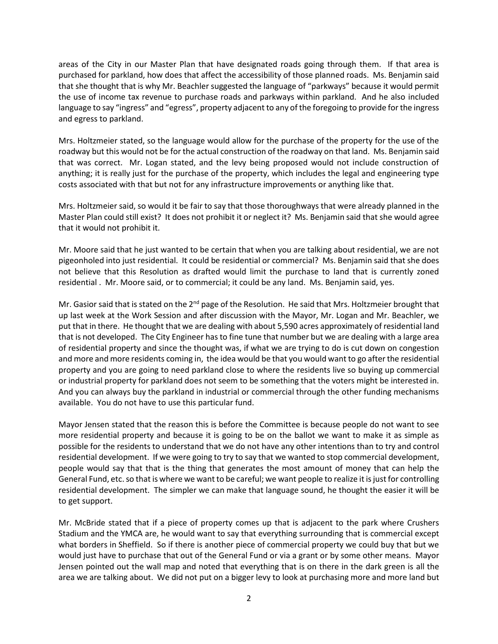areas of the City in our Master Plan that have designated roads going through them. If that area is purchased for parkland, how does that affect the accessibility of those planned roads. Ms. Benjamin said that she thought that is why Mr. Beachler suggested the language of "parkways" because it would permit the use of income tax revenue to purchase roads and parkways within parkland. And he also included language to say "ingress" and "egress", property adjacent to any of the foregoing to provide for the ingress and egress to parkland.

Mrs. Holtzmeier stated, so the language would allow for the purchase of the property for the use of the roadway but this would not be for the actual construction of the roadway on that land. Ms. Benjamin said that was correct. Mr. Logan stated, and the levy being proposed would not include construction of anything; it is really just for the purchase of the property, which includes the legal and engineering type costs associated with that but not for any infrastructure improvements or anything like that.

Mrs. Holtzmeier said, so would it be fair to say that those thoroughways that were already planned in the Master Plan could still exist? It does not prohibit it or neglect it? Ms. Benjamin said that she would agree that it would not prohibit it.

Mr. Moore said that he just wanted to be certain that when you are talking about residential, we are not pigeonholed into just residential. It could be residential or commercial? Ms. Benjamin said that she does not believe that this Resolution as drafted would limit the purchase to land that is currently zoned residential . Mr. Moore said, or to commercial; it could be any land. Ms. Benjamin said, yes.

Mr. Gasior said that is stated on the 2<sup>nd</sup> page of the Resolution. He said that Mrs. Holtzmeier brought that up last week at the Work Session and after discussion with the Mayor, Mr. Logan and Mr. Beachler, we put that in there. He thought that we are dealing with about 5,590 acres approximately of residential land that is not developed. The City Engineer has to fine tune that number but we are dealing with a large area of residential property and since the thought was, if what we are trying to do is cut down on congestion and more and more residents coming in, the idea would be that you would want to go after the residential property and you are going to need parkland close to where the residents live so buying up commercial or industrial property for parkland does not seem to be something that the voters might be interested in. And you can always buy the parkland in industrial or commercial through the other funding mechanisms available. You do not have to use this particular fund.

Mayor Jensen stated that the reason this is before the Committee is because people do not want to see more residential property and because it is going to be on the ballot we want to make it as simple as possible for the residents to understand that we do not have any other intentions than to try and control residential development. If we were going to try to say that we wanted to stop commercial development, people would say that that is the thing that generates the most amount of money that can help the General Fund, etc. so that is where we want to be careful; we want people to realize it is just for controlling residential development. The simpler we can make that language sound, he thought the easier it will be to get support.

Mr. McBride stated that if a piece of property comes up that is adjacent to the park where Crushers Stadium and the YMCA are, he would want to say that everything surrounding that is commercial except what borders in Sheffield. So if there is another piece of commercial property we could buy that but we would just have to purchase that out of the General Fund or via a grant or by some other means. Mayor Jensen pointed out the wall map and noted that everything that is on there in the dark green is all the area we are talking about. We did not put on a bigger levy to look at purchasing more and more land but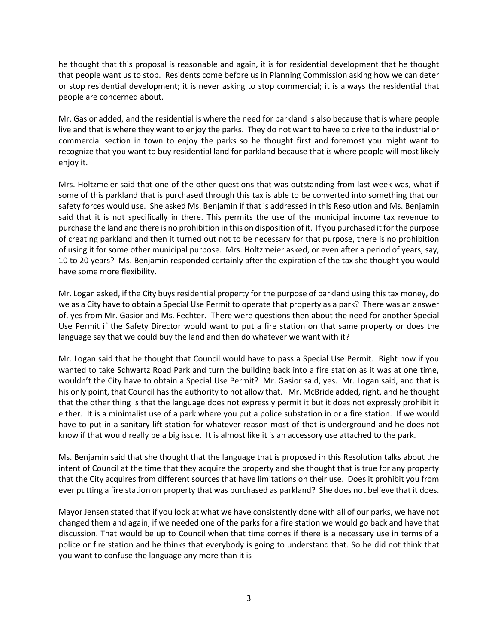he thought that this proposal is reasonable and again, it is for residential development that he thought that people want us to stop. Residents come before us in Planning Commission asking how we can deter or stop residential development; it is never asking to stop commercial; it is always the residential that people are concerned about.

Mr. Gasior added, and the residential is where the need for parkland is also because that is where people live and that is where they want to enjoy the parks. They do not want to have to drive to the industrial or commercial section in town to enjoy the parks so he thought first and foremost you might want to recognize that you want to buy residential land for parkland because that is where people will most likely enjoy it.

Mrs. Holtzmeier said that one of the other questions that was outstanding from last week was, what if some of this parkland that is purchased through this tax is able to be converted into something that our safety forces would use. She asked Ms. Benjamin if that is addressed in this Resolution and Ms. Benjamin said that it is not specifically in there. This permits the use of the municipal income tax revenue to purchase the land and there is no prohibition in this on disposition of it. If you purchased it for the purpose of creating parkland and then it turned out not to be necessary for that purpose, there is no prohibition of using it for some other municipal purpose. Mrs. Holtzmeier asked, or even after a period of years, say, 10 to 20 years? Ms. Benjamin responded certainly after the expiration of the tax she thought you would have some more flexibility.

Mr. Logan asked, if the City buys residential property for the purpose of parkland using this tax money, do we as a City have to obtain a Special Use Permit to operate that property as a park? There was an answer of, yes from Mr. Gasior and Ms. Fechter. There were questions then about the need for another Special Use Permit if the Safety Director would want to put a fire station on that same property or does the language say that we could buy the land and then do whatever we want with it?

Mr. Logan said that he thought that Council would have to pass a Special Use Permit. Right now if you wanted to take Schwartz Road Park and turn the building back into a fire station as it was at one time, wouldn't the City have to obtain a Special Use Permit? Mr. Gasior said, yes. Mr. Logan said, and that is his only point, that Council has the authority to not allow that. Mr. McBride added, right, and he thought that the other thing is that the language does not expressly permit it but it does not expressly prohibit it either. It is a minimalist use of a park where you put a police substation in or a fire station. If we would have to put in a sanitary lift station for whatever reason most of that is underground and he does not know if that would really be a big issue. It is almost like it is an accessory use attached to the park.

Ms. Benjamin said that she thought that the language that is proposed in this Resolution talks about the intent of Council at the time that they acquire the property and she thought that is true for any property that the City acquires from different sources that have limitations on their use. Does it prohibit you from ever putting a fire station on property that was purchased as parkland? She does not believe that it does.

Mayor Jensen stated that if you look at what we have consistently done with all of our parks, we have not changed them and again, if we needed one of the parks for a fire station we would go back and have that discussion. That would be up to Council when that time comes if there is a necessary use in terms of a police or fire station and he thinks that everybody is going to understand that. So he did not think that you want to confuse the language any more than it is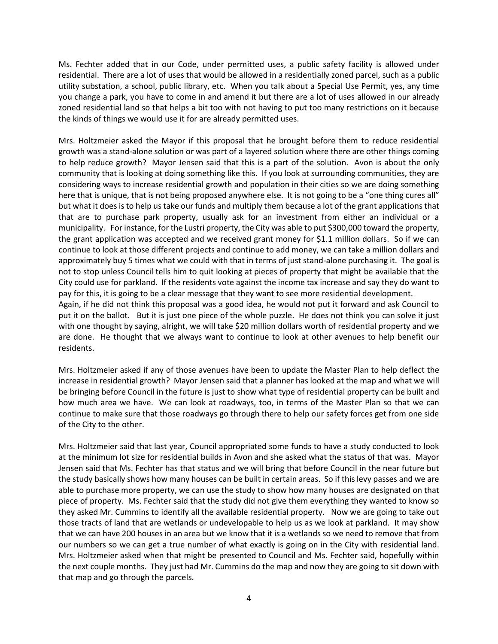Ms. Fechter added that in our Code, under permitted uses, a public safety facility is allowed under residential. There are a lot of uses that would be allowed in a residentially zoned parcel, such as a public utility substation, a school, public library, etc. When you talk about a Special Use Permit, yes, any time you change a park, you have to come in and amend it but there are a lot of uses allowed in our already zoned residential land so that helps a bit too with not having to put too many restrictions on it because the kinds of things we would use it for are already permitted uses.

Mrs. Holtzmeier asked the Mayor if this proposal that he brought before them to reduce residential growth was a stand-alone solution or was part of a layered solution where there are other things coming to help reduce growth? Mayor Jensen said that this is a part of the solution. Avon is about the only community that is looking at doing something like this. If you look at surrounding communities, they are considering ways to increase residential growth and population in their cities so we are doing something here that is unique, that is not being proposed anywhere else. It is not going to be a "one thing cures all" but what it does is to help us take our funds and multiply them because a lot of the grant applications that that are to purchase park property, usually ask for an investment from either an individual or a municipality. For instance, for the Lustri property, the City was able to put \$300,000 toward the property, the grant application was accepted and we received grant money for \$1.1 million dollars. So if we can continue to look at those different projects and continue to add money, we can take a million dollars and approximately buy 5 times what we could with that in terms of just stand-alone purchasing it. The goal is not to stop unless Council tells him to quit looking at pieces of property that might be available that the City could use for parkland. If the residents vote against the income tax increase and say they do want to pay for this, it is going to be a clear message that they want to see more residential development. Again, if he did not think this proposal was a good idea, he would not put it forward and ask Council to put it on the ballot. But it is just one piece of the whole puzzle. He does not think you can solve it just with one thought by saying, alright, we will take \$20 million dollars worth of residential property and we are done. He thought that we always want to continue to look at other avenues to help benefit our residents.

Mrs. Holtzmeier asked if any of those avenues have been to update the Master Plan to help deflect the increase in residential growth? Mayor Jensen said that a planner has looked at the map and what we will be bringing before Council in the future is just to show what type of residential property can be built and how much area we have. We can look at roadways, too, in terms of the Master Plan so that we can continue to make sure that those roadways go through there to help our safety forces get from one side of the City to the other.

Mrs. Holtzmeier said that last year, Council appropriated some funds to have a study conducted to look at the minimum lot size for residential builds in Avon and she asked what the status of that was. Mayor Jensen said that Ms. Fechter has that status and we will bring that before Council in the near future but the study basically shows how many houses can be built in certain areas. So if this levy passes and we are able to purchase more property, we can use the study to show how many houses are designated on that piece of property. Ms. Fechter said that the study did not give them everything they wanted to know so they asked Mr. Cummins to identify all the available residential property. Now we are going to take out those tracts of land that are wetlands or undevelopable to help us as we look at parkland. It may show that we can have 200 houses in an area but we know that it is a wetlands so we need to remove that from our numbers so we can get a true number of what exactly is going on in the City with residential land. Mrs. Holtzmeier asked when that might be presented to Council and Ms. Fechter said, hopefully within the next couple months. They just had Mr. Cummins do the map and now they are going to sit down with that map and go through the parcels.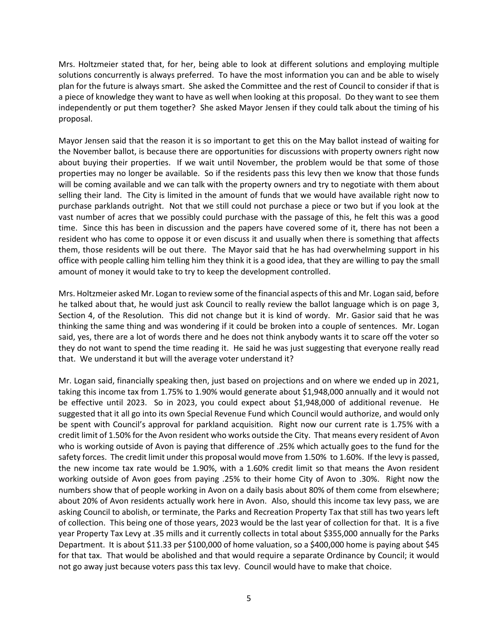Mrs. Holtzmeier stated that, for her, being able to look at different solutions and employing multiple solutions concurrently is always preferred. To have the most information you can and be able to wisely plan for the future is always smart. She asked the Committee and the rest of Council to consider if that is a piece of knowledge they want to have as well when looking at this proposal. Do they want to see them independently or put them together? She asked Mayor Jensen if they could talk about the timing of his proposal.

Mayor Jensen said that the reason it is so important to get this on the May ballot instead of waiting for the November ballot, is because there are opportunities for discussions with property owners right now about buying their properties. If we wait until November, the problem would be that some of those properties may no longer be available. So if the residents pass this levy then we know that those funds will be coming available and we can talk with the property owners and try to negotiate with them about selling their land. The City is limited in the amount of funds that we would have available right now to purchase parklands outright. Not that we still could not purchase a piece or two but if you look at the vast number of acres that we possibly could purchase with the passage of this, he felt this was a good time. Since this has been in discussion and the papers have covered some of it, there has not been a resident who has come to oppose it or even discuss it and usually when there is something that affects them, those residents will be out there. The Mayor said that he has had overwhelming support in his office with people calling him telling him they think it is a good idea, that they are willing to pay the small amount of money it would take to try to keep the development controlled.

Mrs. Holtzmeier asked Mr. Logan to review some of the financial aspects of this and Mr. Logan said, before he talked about that, he would just ask Council to really review the ballot language which is on page 3, Section 4, of the Resolution. This did not change but it is kind of wordy. Mr. Gasior said that he was thinking the same thing and was wondering if it could be broken into a couple of sentences. Mr. Logan said, yes, there are a lot of words there and he does not think anybody wants it to scare off the voter so they do not want to spend the time reading it. He said he was just suggesting that everyone really read that. We understand it but will the average voter understand it?

Mr. Logan said, financially speaking then, just based on projections and on where we ended up in 2021, taking this income tax from 1.75% to 1.90% would generate about \$1,948,000 annually and it would not be effective until 2023. So in 2023, you could expect about \$1,948,000 of additional revenue. He suggested that it all go into its own Special Revenue Fund which Council would authorize, and would only be spent with Council's approval for parkland acquisition. Right now our current rate is 1.75% with a credit limit of 1.50% for the Avon resident who works outside the City. That means every resident of Avon who is working outside of Avon is paying that difference of .25% which actually goes to the fund for the safety forces. The credit limit under this proposal would move from 1.50% to 1.60%. If the levy is passed, the new income tax rate would be 1.90%, with a 1.60% credit limit so that means the Avon resident working outside of Avon goes from paying .25% to their home City of Avon to .30%. Right now the numbers show that of people working in Avon on a daily basis about 80% of them come from elsewhere; about 20% of Avon residents actually work here in Avon. Also, should this income tax levy pass, we are asking Council to abolish, or terminate, the Parks and Recreation Property Tax that still has two years left of collection. This being one of those years, 2023 would be the last year of collection for that. It is a five year Property Tax Levy at .35 mills and it currently collects in total about \$355,000 annually for the Parks Department. It is about \$11.33 per \$100,000 of home valuation, so a \$400,000 home is paying about \$45 for that tax. That would be abolished and that would require a separate Ordinance by Council; it would not go away just because voters pass this tax levy. Council would have to make that choice.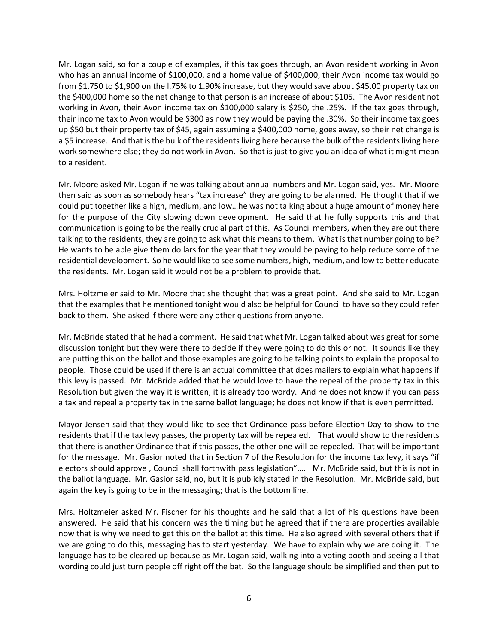Mr. Logan said, so for a couple of examples, if this tax goes through, an Avon resident working in Avon who has an annual income of \$100,000, and a home value of \$400,000, their Avon income tax would go from \$1,750 to \$1,900 on the l.75% to 1.90% increase, but they would save about \$45.00 property tax on the \$400,000 home so the net change to that person is an increase of about \$105. The Avon resident not working in Avon, their Avon income tax on \$100,000 salary is \$250, the .25%. If the tax goes through, their income tax to Avon would be \$300 as now they would be paying the .30%. So their income tax goes up \$50 but their property tax of \$45, again assuming a \$400,000 home, goes away, so their net change is a \$5 increase. And that is the bulk of the residents living here because the bulk of the residents living here work somewhere else; they do not work in Avon. So that is just to give you an idea of what it might mean to a resident.

Mr. Moore asked Mr. Logan if he was talking about annual numbers and Mr. Logan said, yes. Mr. Moore then said as soon as somebody hears "tax increase" they are going to be alarmed. He thought that if we could put together like a high, medium, and low…he was not talking about a huge amount of money here for the purpose of the City slowing down development. He said that he fully supports this and that communication is going to be the really crucial part of this. As Council members, when they are out there talking to the residents, they are going to ask what this means to them. What is that number going to be? He wants to be able give them dollars for the year that they would be paying to help reduce some of the residential development. So he would like to see some numbers, high, medium, and low to better educate the residents. Mr. Logan said it would not be a problem to provide that.

Mrs. Holtzmeier said to Mr. Moore that she thought that was a great point. And she said to Mr. Logan that the examples that he mentioned tonight would also be helpful for Council to have so they could refer back to them. She asked if there were any other questions from anyone.

Mr. McBride stated that he had a comment. He said that what Mr. Logan talked about was great for some discussion tonight but they were there to decide if they were going to do this or not. It sounds like they are putting this on the ballot and those examples are going to be talking points to explain the proposal to people. Those could be used if there is an actual committee that does mailers to explain what happens if this levy is passed. Mr. McBride added that he would love to have the repeal of the property tax in this Resolution but given the way it is written, it is already too wordy. And he does not know if you can pass a tax and repeal a property tax in the same ballot language; he does not know if that is even permitted.

Mayor Jensen said that they would like to see that Ordinance pass before Election Day to show to the residents that if the tax levy passes, the property tax will be repealed. That would show to the residents that there is another Ordinance that if this passes, the other one will be repealed. That will be important for the message. Mr. Gasior noted that in Section 7 of the Resolution for the income tax levy, it says "if electors should approve , Council shall forthwith pass legislation"…. Mr. McBride said, but this is not in the ballot language. Mr. Gasior said, no, but it is publicly stated in the Resolution. Mr. McBride said, but again the key is going to be in the messaging; that is the bottom line.

Mrs. Holtzmeier asked Mr. Fischer for his thoughts and he said that a lot of his questions have been answered. He said that his concern was the timing but he agreed that if there are properties available now that is why we need to get this on the ballot at this time. He also agreed with several others that if we are going to do this, messaging has to start yesterday. We have to explain why we are doing it. The language has to be cleared up because as Mr. Logan said, walking into a voting booth and seeing all that wording could just turn people off right off the bat. So the language should be simplified and then put to